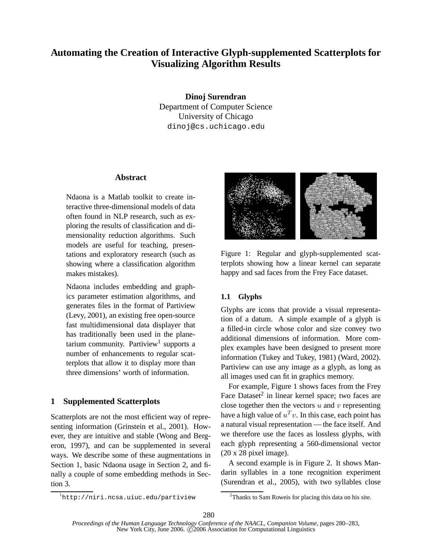# **Automating the Creation of Interactive Glyph-supplemented Scatterplots for Visualizing Algorithm Results**

**Dinoj Surendran** Department of Computer Science University of Chicago dinoj@cs.uchicago.edu

#### **Abstract**

Ndaona is a Matlab toolkit to create interactive three-dimensional models of data often found in NLP research, such as exploring the results of classification and dimensionality reduction algorithms. Such models are useful for teaching, presentations and exploratory research (such as showing where a classification algorithm makes mistakes).

Ndaona includes embedding and graphics parameter estimation algorithms, and generates files in the format of Partiview (Levy, 2001), an existing free open-source fast multidimensional data displayer that has traditionally been used in the planetarium community. Partiview<sup>1</sup> supports a number of enhancements to regular scatterplots that allow it to display more than three dimensions' worth of information.

# **1 Supplemented Scatterplots**

Scatterplots are not the most efficient way of representing information (Grinstein et al., 2001). However, they are intuitive and stable (Wong and Bergeron, 1997), and can be supplemented in several ways. We describe some of these augmentations in Section 1, basic Ndaona usage in Section 2, and finally a couple of some embedding methods in Section 3.



Figure 1: Regular and glyph-supplemented scatterplots showing how a linear kernel can separate happy and sad faces from the Frey Face dataset.

# **1.1 Glyphs**

Glyphs are icons that provide a visual representation of a datum. A simple example of a glyph is a filled-in circle whose color and size convey two additional dimensions of information. More complex examples have been designed to present more information (Tukey and Tukey, 1981) (Ward, 2002). Partiview can use any image as a glyph, as long as all images used can fit in graphics memory.

For example, Figure 1 shows faces from the Frey Face Dataset<sup>2</sup> in linear kernel space; two faces are close together then the vectors  $u$  and  $v$  representing have a high value of  $u^T v$ . In this case, each point has a natural visual representation — the face itself. And we therefore use the faces as lossless glyphs, with each glyph representing a 560-dimensional vector (20 x 28 pixel image).

A second example is in Figure 2. It shows Mandarin syllables in a tone recognition experiment (Surendran et al., 2005), with two syllables close

<sup>1</sup>http://niri.ncsa.uiuc.edu/partiview

<sup>2</sup>Thanks to Sam Roweis for placing this data on his site.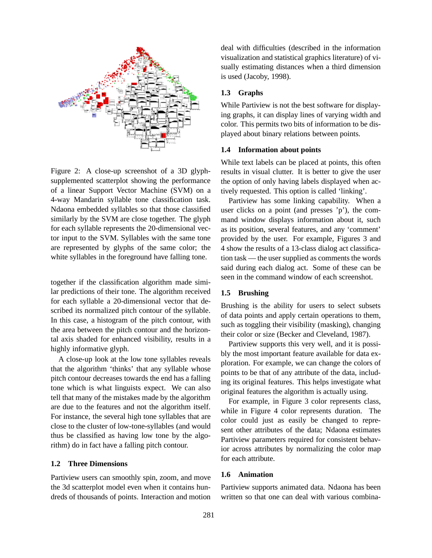

Figure 2: A close-up screenshot of a 3D glyphsupplemented scatterplot showing the performance of a linear Support Vector Machine (SVM) on a 4-way Mandarin syllable tone classification task. Ndaona embedded syllables so that those classified similarly by the SVM are close together. The glyph for each syllable represents the 20-dimensional vector input to the SVM. Syllables with the same tone are represented by glyphs of the same color; the white syllables in the foreground have falling tone.

together if the classification algorithm made similar predictions of their tone. The algorithm received for each syllable a 20-dimensional vector that described its normalized pitch contour of the syllable. In this case, a histogram of the pitch contour, with the area between the pitch contour and the horizontal axis shaded for enhanced visibility, results in a highly informative glyph.

A close-up look at the low tone syllables reveals that the algorithm 'thinks' that any syllable whose pitch contour decreases towards the end has a falling tone which is what linguists expect. We can also tell that many of the mistakes made by the algorithm are due to the features and not the algorithm itself. For instance, the several high tone syllables that are close to the cluster of low-tone-syllables (and would thus be classified as having low tone by the algorithm) do in fact have a falling pitch contour.

#### **1.2 Three Dimensions**

Partiview users can smoothly spin, zoom, and move the 3d scatterplot model even when it contains hundreds of thousands of points. Interaction and motion deal with difficulties (described in the information visualization and statistical graphics literature) of visually estimating distances when a third dimension is used (Jacoby, 1998).

## **1.3 Graphs**

While Partiview is not the best software for displaying graphs, it can display lines of varying width and color. This permits two bits of information to be displayed about binary relations between points.

#### **1.4 Information about points**

While text labels can be placed at points, this often results in visual clutter. It is better to give the user the option of only having labels displayed when actively requested. This option is called 'linking'.

Partiview has some linking capability. When a user clicks on a point (and presses 'p'), the command window displays information about it, such as its position, several features, and any 'comment' provided by the user. For example, Figures 3 and 4 show the results of a 13-class dialog act classification task — the user supplied as comments the words said during each dialog act. Some of these can be seen in the command window of each screenshot.

### **1.5 Brushing**

Brushing is the ability for users to select subsets of data points and apply certain operations to them, such as toggling their visibility (masking), changing their color or size (Becker and Cleveland, 1987).

Partiview supports this very well, and it is possibly the most important feature available for data exploration. For example, we can change the colors of points to be that of any attribute of the data, including its original features. This helps investigate what original features the algorithm is actually using.

For example, in Figure 3 color represents class, while in Figure 4 color represents duration. The color could just as easily be changed to represent other attributes of the data; Ndaona estimates Partiview parameters required for consistent behavior across attributes by normalizing the color map for each attribute.

## **1.6 Animation**

Partiview supports animated data. Ndaona has been written so that one can deal with various combina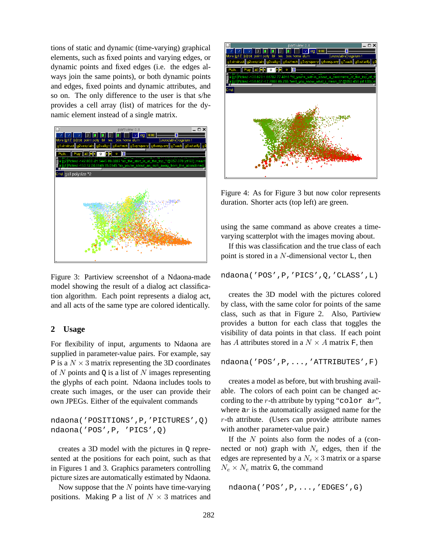tions of static and dynamic (time-varying) graphical elements, such as fixed points and varying edges, or dynamic points and fixed edges (i.e. the edges always join the same points), or both dynamic points and edges, fixed points and dynamic attributes, and so on. The only difference to the user is that s/he provides a cell array (list) of matrices for the dynamic element instead of a single matrix.



Figure 3: Partiview screenshot of a Ndaona-made model showing the result of a dialog act classification algorithm. Each point represents a dialog act, and all acts of the same type are colored identically.

## **2 Usage**

For flexibility of input, arguments to Ndaona are supplied in parameter-value pairs. For example, say P is a  $N \times 3$  matrix representing the 3D coordinates of N points and  $\circ$  is a list of N images representing the glyphs of each point. Ndaona includes tools to create such images, or the user can provide their own JPEGs. Either of the equivalent commands

```
ndaona('POSITIONS',P,'PICTURES',Q)
ndaona('POS',P, 'PICS',Q)
```
creates a 3D model with the pictures in Q represented at the positions for each point, such as that in Figures 1 and 3. Graphics parameters controlling picture sizes are automatically estimated by Ndaona.

Now suppose that the  $N$  points have time-varying positions. Making P a list of  $N \times 3$  matrices and



Figure 4: As for Figure 3 but now color represents duration. Shorter acts (top left) are green.

using the same command as above creates a timevarying scatterplot with the images moving about.

If this was classification and the true class of each point is stored in a  $N$ -dimensional vector  $L$ , then

```
ndaona('POS',P,'PICS',Q,'CLASS',L)
```
creates the 3D model with the pictures colored by class, with the same color for points of the same class, such as that in Figure 2. Also, Partiview provides a button for each class that toggles the visibility of data points in that class. If each point has A attributes stored in a  $N \times A$  matrix F, then

ndaona('POS',P,...,'ATTRIBUTES',F)

creates a model as before, but with brushing available. The colors of each point can be changed according to the r-th attribute by typing "color  $ar$ ", where  $ar$  is the automatically assigned name for the  $r$ -th attribute. (Users can provide attribute names with another parameter-value pair.)

If the  $N$  points also form the nodes of a (connected or not) graph with  $N_e$  edges, then if the edges are represented by a  $N_e \times 3$  matrix or a sparse  $N_e \times N_e$  matrix G, the command

```
ndaona('POS',P,...,'EDGES',G)
```